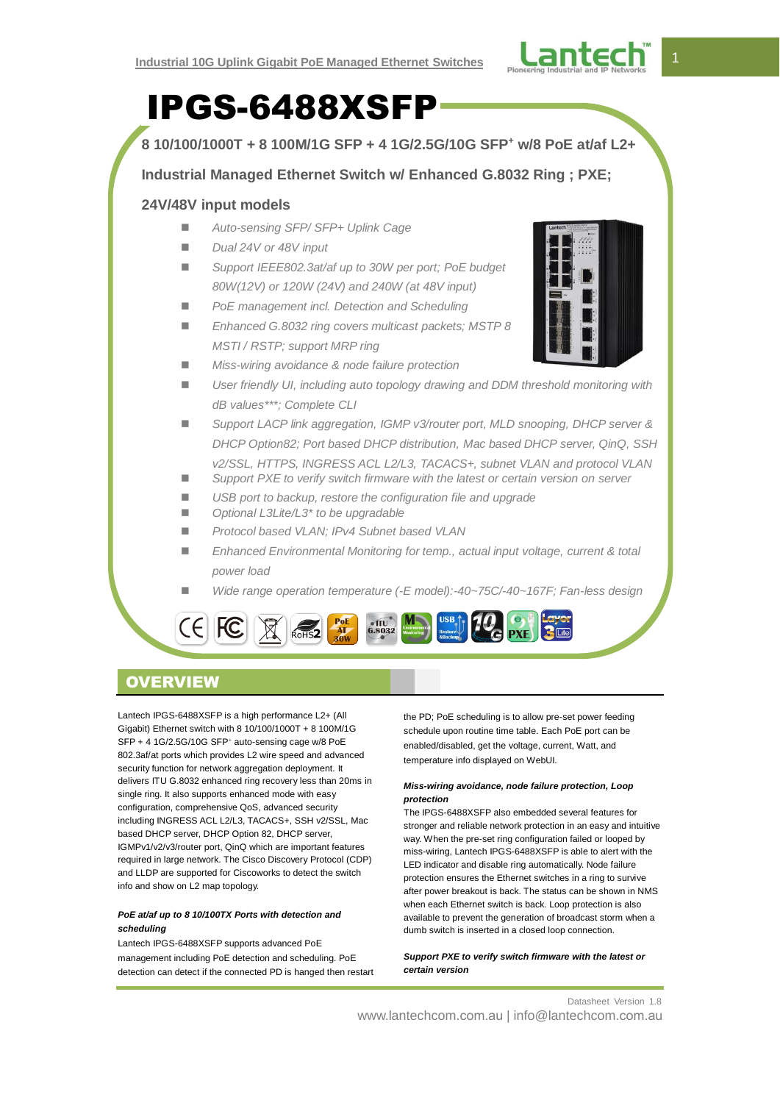

# IPGS-6488XSFP

**8 10/100/1000T + 8 100M/1G SFP + 4 1G/2.5G/10G SFP<sup>+</sup> w/8 PoE at/af L2+**

**Industrial Managed Ethernet Switch w/ Enhanced G.8032 Ring ; PXE;** 

# **24V/48V input models**

- *Auto-sensing SFP/ SFP+ Uplink Cage*
- *Dual 24V or 48V input*
- Support IEEE802.3at/af up to 30W per port: PoE budget *80W(12V) or 120W (24V) and 240W (at 48V input)*
- *PoE management incl. Detection and Scheduling*
- *Enhanced G.8032 ring covers multicast packets; MSTP 8 MSTI / RSTP; support MRP ring*
- *Miss-wiring avoidance & node failure protection*
- *User friendly UI, including auto topology drawing and DDM threshold monitoring with dB values\*\*\*; Complete CLI*
- *Support LACP link aggregation, IGMP v3/router port, MLD snooping, DHCP server & DHCP Option82; Port based DHCP distribution, Mac based DHCP server, QinQ, SSH v2/SSL, HTTPS, INGRESS ACL L2/L3, TACACS+, subnet VLAN and protocol VLAN*
- Support PXE to verify switch firmware with the latest or certain version on server
- *USB port to backup, restore the configuration file and upgrade*
- *Optional L3Lite/L3\* to be upgradable*
- *Protocol based VLAN; IPv4 Subnet based VLAN*
- *Enhanced Environmental Monitoring for temp., actual input voltage, current & total power load*
- *Wide range operation temperature (-E model):-40~75C/-40~167F; Fan-less design*



# **OVERVIEW**

Lantech IPGS-6488XSFP is a high performance L2+ (All Gigabit) Ethernet switch with 8 10/100/1000T + 8 100M/1G SFP + 4 1G/2.5G/10G SFP<sup>+</sup> auto-sensing cage w/8 PoE 802.3af/at ports which provides L2 wire speed and advanced security function for network aggregation deployment. It delivers ITU G.8032 enhanced ring recovery less than 20ms in single ring. It also supports enhanced mode with easy configuration, comprehensive QoS, advanced security including INGRESS ACL L2/L3, TACACS+, SSH v2/SSL, Mac based DHCP server, DHCP Option 82, DHCP server, IGMPv1/v2/v3/router port, QinQ which are important features required in large network. The Cisco Discovery Protocol (CDP) and LLDP are supported for Ciscoworks to detect the switch info and show on L2 map topology.

## *PoE at/af up to 8 10/100TX Ports with detection and scheduling*

Lantech IPGS-6488XSFP supports advanced PoE management including PoE detection and scheduling. PoE detection can detect if the connected PD is hanged then restart the PD; PoE scheduling is to allow pre-set power feeding schedule upon routine time table. Each PoE port can be enabled/disabled, get the voltage, current, Watt, and temperature info displayed on WebUI.

## *Miss-wiring avoidance, node failure protection, Loop protection*

The IPGS-6488XSFP also embedded several features for stronger and reliable network protection in an easy and intuitive way. When the pre-set ring configuration failed or looped by miss-wiring, Lantech IPGS-6488XSFP is able to alert with the LED indicator and disable ring automatically. Node failure protection ensures the Ethernet switches in a ring to survive after power breakout is back. The status can be shown in NMS when each Ethernet switch is back. Loop protection is also available to prevent the generation of broadcast storm when a dumb switch is inserted in a closed loop connection.

## *Support PXE to verify switch firmware with the latest or certain version*

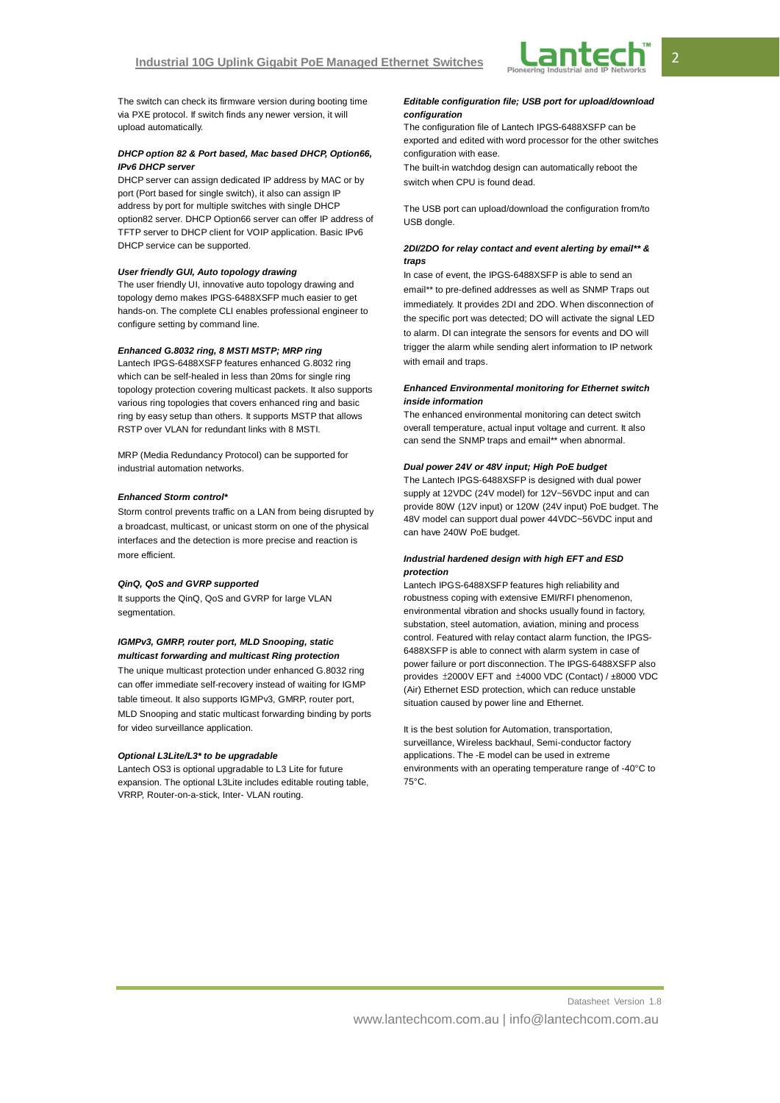

The switch can check its firmware version during booting time via PXE protocol. If switch finds any newer version, it will upload automatically.

#### *DHCP option 82 & Port based, Mac based DHCP, Option66, IPv6 DHCP server*

DHCP server can assign dedicated IP address by MAC or by port (Port based for single switch), it also can assign IP address by port for multiple switches with single DHCP option82 server. DHCP Option66 server can offer IP address of TFTP server to DHCP client for VOIP application. Basic IPv6 DHCP service can be supported.

#### *User friendly GUI, Auto topology drawing*

The user friendly UI, innovative auto topology drawing and topology demo makes IPGS-6488XSFP much easier to get hands-on. The complete CLI enables professional engineer to configure setting by command line.

#### *Enhanced G.8032 ring, 8 MSTI MSTP; MRP ring*

Lantech IPGS-6488XSFP features enhanced G.8032 ring which can be self-healed in less than 20ms for single ring topology protection covering multicast packets. It also supports various ring topologies that covers enhanced ring and basic ring by easy setup than others. It supports MSTP that allows RSTP over VLAN for redundant links with 8 MSTI.

MRP (Media Redundancy Protocol) can be supported for industrial automation networks.

### *Enhanced Storm control\**

Storm control prevents traffic on a LAN from being disrupted by a broadcast, multicast, or unicast storm on one of the physical interfaces and the detection is more precise and reaction is more efficient.

#### *QinQ, QoS and GVRP supported*

It supports the QinQ, QoS and GVRP for large VLAN segmentation

#### *IGMPv3, GMRP, router port, MLD Snooping, static multicast forwarding and multicast Ring protection*

The unique multicast protection under enhanced G.8032 ring can offer immediate self-recovery instead of waiting for IGMP table timeout. It also supports IGMPv3, GMRP, router port, MLD Snooping and static multicast forwarding binding by ports for video surveillance application.

#### *Optional L3Lite/L3\* to be upgradable*

Lantech OS3 is optional upgradable to L3 Lite for future expansion. The optional L3Lite includes editable routing table, VRRP, Router-on-a-stick, Inter- VLAN routing.

#### *Editable configuration file; USB port for upload/download configuration*

The configuration file of Lantech IPGS-6488XSFP can be exported and edited with word processor for the other switches configuration with ease.

The built-in watchdog design can automatically reboot the switch when CPU is found dead.

The USB port can upload/download the configuration from/to USB dongle.

#### *2DI/2DO for relay contact and event alerting by email\*\* & traps*

In case of event, the IPGS-6488XSFP is able to send an email\*\* to pre-defined addresses as well as SNMP Traps out immediately. It provides 2DI and 2DO. When disconnection of the specific port was detected; DO will activate the signal LED to alarm. DI can integrate the sensors for events and DO will trigger the alarm while sending alert information to IP network with email and traps.

#### *Enhanced Environmental monitoring for Ethernet switch inside information*

The enhanced environmental monitoring can detect switch overall temperature, actual input voltage and current. It also can send the SNMP traps and email\*\* when abnormal.

#### *Dual power 24V or 48V input; High PoE budget*

The Lantech IPGS-6488XSFP is designed with dual power supply at 12VDC (24V model) for 12V~56VDC input and can provide 80W (12V input) or 120W (24V input) PoE budget. The 48V model can support dual power 44VDC~56VDC input and can have 240W PoE budget.

#### *Industrial hardened design with high EFT and ESD protection*

Lantech IPGS-6488XSFP features high reliability and robustness coping with extensive EMI/RFI phenomenon, environmental vibration and shocks usually found in factory, substation, steel automation, aviation, mining and process control. Featured with relay contact alarm function, the IPGS-6488XSFP is able to connect with alarm system in case of power failure or port disconnection. The IPGS-6488XSFP also provides ±2000V EFT and ±4000 VDC (Contact) / ±8000 VDC (Air) Ethernet ESD protection, which can reduce unstable situation caused by power line and Ethernet.

It is the best solution for Automation, transportation, surveillance, Wireless backhaul, Semi-conductor factory applications. The -E model can be used in extreme environments with an operating temperature range of -40°C to 75°C.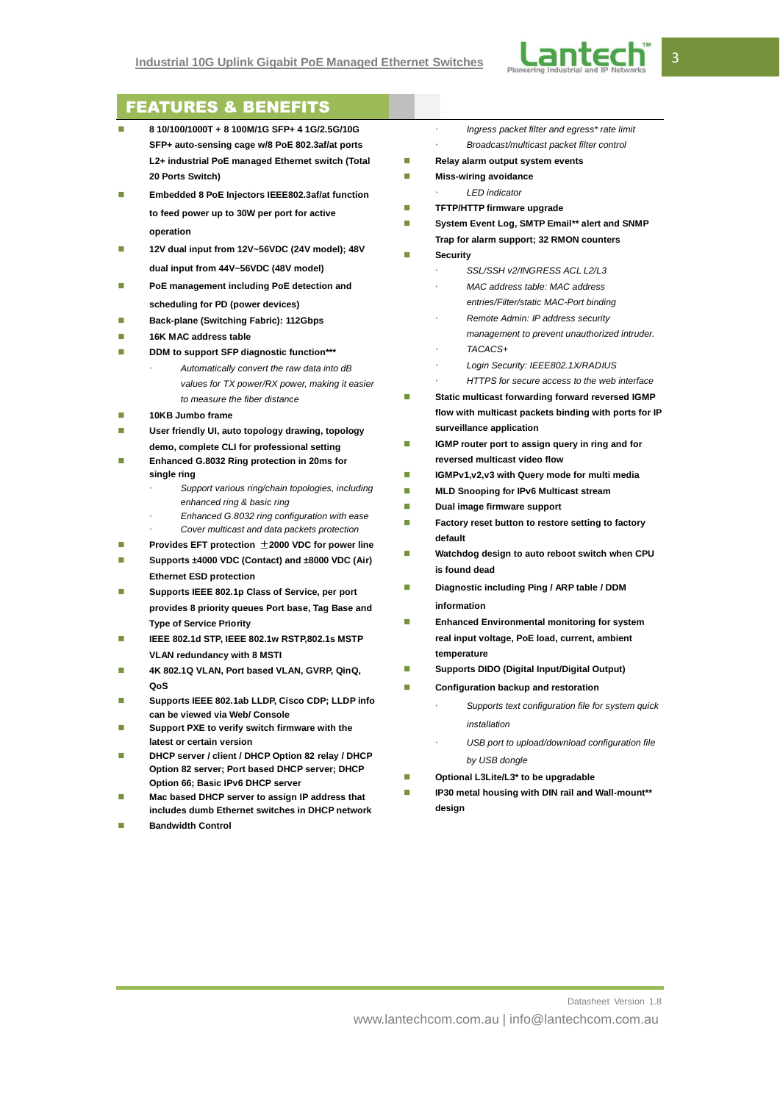

# FEATURES & BENEFITS

- **8 10/100/1000T + 8 100M/1G SFP+ 4 1G/2.5G/10G SFP+ auto-sensing cage w/8 PoE 802.3af/at ports L2+ industrial PoE managed Ethernet switch (Total 20 Ports Switch)**
- **Embedded 8 PoE Injectors IEEE802.3af/at function to feed power up to 30W per port for active operation**
- **12V dual input from 12V~56VDC (24V model); 48V dual input from 44V~56VDC (48V model)**
- **PoE management including PoE detection and scheduling for PD (power devices)**
- **Back-plane (Switching Fabric): 112Gbps**
- **16K MAC address table**
- **DDM** to support SFP diagnostic function\*\*\*
	- *Automatically convert the raw data into dB values for TX power/RX power, making it easier to measure the fiber distance*
- **10KB Jumbo frame**
- **User friendly UI, auto topology drawing, topology demo, complete CLI for professional setting**
- **Enhanced G.8032 Ring protection in 20ms for single ring**
	- *Support various ring/chain topologies, including enhanced ring & basic ring*
	- *Enhanced G.8032 ring configuration with ease*
	- *Cover multicast and data packets protection*
- **Provides EFT protection 2000 VDC for power line**
- Supports ±4000 VDC (Contact) and ±8000 VDC (Air) **Ethernet ESD protection**
- **Supports IEEE 802.1p Class of Service, per port provides 8 priority queues Port base, Tag Base and Type of Service Priority**
- **IEEE 802.1d STP, IEEE 802.1w RSTP,802.1s MSTP VLAN redundancy with 8 MSTI**
- **4K 802.1Q VLAN, Port based VLAN, GVRP, QinQ, QoS**
- **Supports IEEE 802.1ab LLDP, Cisco CDP; LLDP info can be viewed via Web/ Console**
- **Support PXE to verify switch firmware with the latest or certain version**
- **DHCP server / client / DHCP Option 82 relay / DHCP Option 82 server; Port based DHCP server; DHCP Option 66; Basic IPv6 DHCP server**
- **Mac based DHCP server to assign IP address that includes dumb Ethernet switches in DHCP network**
- **Bandwidth Control**
- *Ingress packet filter and egress\* rate limit*
- *Broadcast/multicast packet filter control*
- **Relay alarm output system events**
- **Miss-wiring avoidance** 
	- *LED indicator*
- **TFTP/HTTP firmware upgrade**
- **System Event Log, SMTP Email\*\* alert and SNMP Trap for alarm support; 32 RMON counters**
- **Security**
	- *SSL/SSH v2/INGRESS ACL L2/L3*
	- *MAC address table: MAC address entries/Filter/static MAC-Port binding*
	- *Remote Admin: IP address security management to prevent unauthorized intruder. TACACS+*
	-
	- *Login Security: IEEE802.1X/RADIUS*
	- *HTTPS for secure access to the web interface*
- Static multicast forwarding forward reversed IGMP **flow with multicast packets binding with ports for IP surveillance application**
- **IGMP** router port to assign query in ring and for **reversed multicast video flow**
- **IGMPv1,v2,v3 with Query mode for multi media**
- **MLD Snooping for IPv6 Multicast stream**
- **Dual image firmware support**
- **Factory reset button to restore setting to factory default**
- **Watchdog design to auto reboot switch when CPU is found dead**
- **Diagnostic including Ping / ARP table / DDM information**
- **Enhanced Environmental monitoring for system real input voltage, PoE load, current, ambient temperature**
- **Supports DIDO (Digital Input/Digital Output)**
- **Configuration backup and restoration**
	- *Supports text configuration file for system quick installation*
	- *USB port to upload/download configuration file by USB dongle*
	- **Optional L3Lite/L3\* to be upgradable**
- **IP30 metal housing with DIN rail and Wall-mount\*\* design**

Datasheet Version 1.8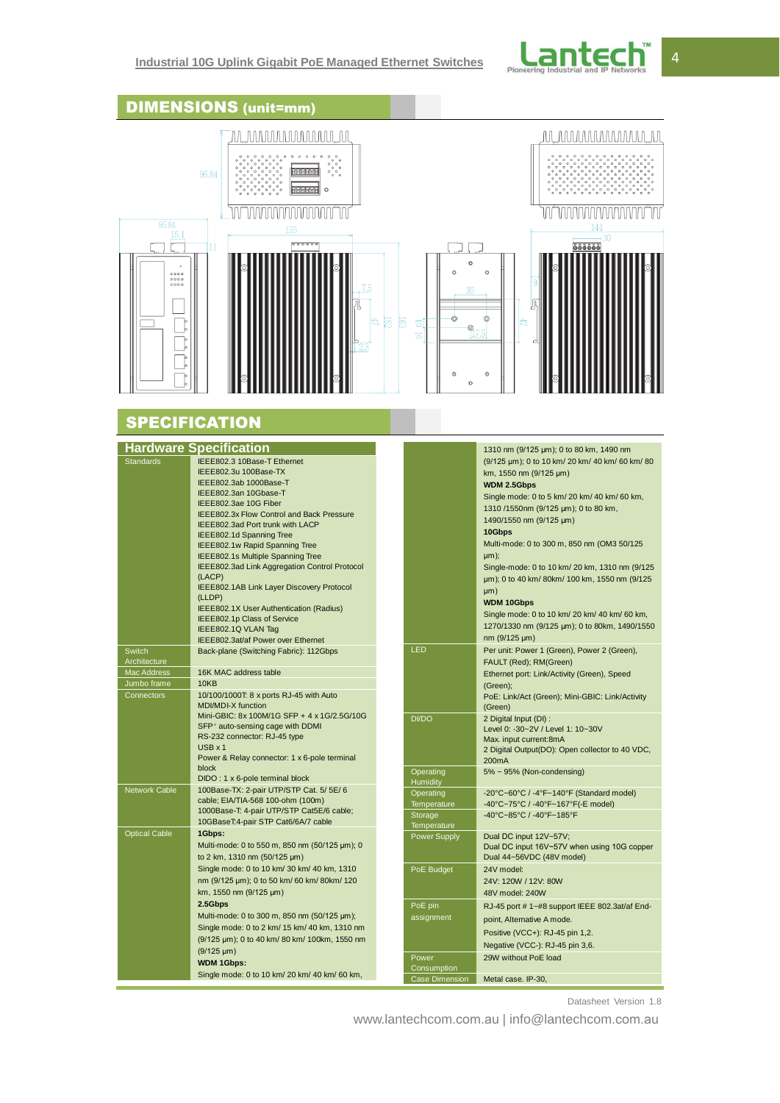| <b>DIMENSIONS</b> (unit=mm)                                                                          |                                                                                                                                                                                                                                                                                                                                                                                                                                                                                                                                                                                                                                                                                                                                                                                                                                                                                                                                                                                                                |                                                                                                             |                                                                                                                                                                                                                                                                                                                                                                                                                                                                                                                                                                                                                                                                                                                                                                                                                                                                                                                                                                               |  |
|------------------------------------------------------------------------------------------------------|----------------------------------------------------------------------------------------------------------------------------------------------------------------------------------------------------------------------------------------------------------------------------------------------------------------------------------------------------------------------------------------------------------------------------------------------------------------------------------------------------------------------------------------------------------------------------------------------------------------------------------------------------------------------------------------------------------------------------------------------------------------------------------------------------------------------------------------------------------------------------------------------------------------------------------------------------------------------------------------------------------------|-------------------------------------------------------------------------------------------------------------|-------------------------------------------------------------------------------------------------------------------------------------------------------------------------------------------------------------------------------------------------------------------------------------------------------------------------------------------------------------------------------------------------------------------------------------------------------------------------------------------------------------------------------------------------------------------------------------------------------------------------------------------------------------------------------------------------------------------------------------------------------------------------------------------------------------------------------------------------------------------------------------------------------------------------------------------------------------------------------|--|
| 95.84<br>15.I<br>0000<br>0000<br>0000                                                                | AAAAAAAAAAAAAA<br>95.84<br>$\circ$<br>$\circ$<br><b>SHEISER</b><br>MMMMMMM<br>135<br>11<br>÷,                                                                                                                                                                                                                                                                                                                                                                                                                                                                                                                                                                                                                                                                                                                                                                                                                                                                                                                  | á<br>35<br>$\odot$<br>図<br>E<br>5<br>Q<br>5<br>Ō                                                            | AAAAAAAAAAAAA<br>30<br>666666<br>ര<br>ō                                                                                                                                                                                                                                                                                                                                                                                                                                                                                                                                                                                                                                                                                                                                                                                                                                                                                                                                       |  |
|                                                                                                      | <b>SPECIFICATION</b>                                                                                                                                                                                                                                                                                                                                                                                                                                                                                                                                                                                                                                                                                                                                                                                                                                                                                                                                                                                           |                                                                                                             |                                                                                                                                                                                                                                                                                                                                                                                                                                                                                                                                                                                                                                                                                                                                                                                                                                                                                                                                                                               |  |
| <b>Standards</b><br>Switch<br>Architecture<br><b>Mac Address</b><br>Jumbo frame<br><b>Connectors</b> | <b>Hardware Specification</b><br>IEEE802.3 10Base-T Ethernet<br>IEEE802.3u 100Base-TX<br>IEEE802.3ab 1000Base-T<br>IEEE802.3an 10Gbase-T<br>IEEE802.3ae 10G Fiber<br>IEEE802.3x Flow Control and Back Pressure<br>IEEE802.3ad Port trunk with LACP<br>IEEE802.1d Spanning Tree<br>IEEE802.1w Rapid Spanning Tree<br>IEEE802.1s Multiple Spanning Tree<br>IEEE802.3ad Link Aggregation Control Protocol<br>(LACP)<br>IEEE802.1AB Link Layer Discovery Protocol<br>(LLDP)<br>IEEE802.1X User Authentication (Radius)<br>IEEE802.1p Class of Service<br>IEEE802.1Q VLAN Tag<br>IEEE802.3at/af Power over Ethernet<br>Back-plane (Switching Fabric): 112Gbps<br>16K MAC address table<br>10KB<br>10/100/1000T: 8 x ports RJ-45 with Auto<br><b>MDI/MDI-X function</b><br>Mini-GBIC: 8x 100M/1G SFP + 4 x 1G/2.5G/10G<br>SFP <sup>+</sup> auto-sensing cage with DDMI<br>RS-232 connector: RJ-45 type<br>$USB \times 1$<br>Power & Relay connector: 1 x 6-pole terminal<br>block<br>DIDO: 1 x 6-pole terminal block | LED<br><b>DI/DO</b><br>Operating<br>Humidity                                                                | 1310 nm (9/125 µm); 0 to 80 km, 1490 nm<br>(9/125 µm); 0 to 10 km/ 20 km/ 40 km/ 60 km/ 80<br>km, 1550 nm (9/125 µm)<br><b>WDM 2.5Gbps</b><br>Single mode: 0 to 5 km/ 20 km/ 40 km/ 60 km,<br>1310/1550nm (9/125 µm); 0 to 80 km,<br>1490/1550 nm (9/125 µm)<br>10Gbps<br>Multi-mode: 0 to 300 m, 850 nm (OM3 50/125<br>µm);<br>Single-mode: 0 to 10 km/ 20 km, 1310 nm (9/125<br>um); 0 to 40 km/80km/100 km, 1550 nm (9/125<br>µm)<br><b>WDM 10Gbps</b><br>Single mode: 0 to 10 km/ 20 km/ 40 km/ 60 km,<br>1270/1330 nm (9/125 µm); 0 to 80km, 1490/1550<br>nm (9/125 µm)<br>Per unit: Power 1 (Green), Power 2 (Green),<br>FAULT (Red); RM(Green)<br>Ethernet port: Link/Activity (Green), Speed<br>(Green);<br>PoE: Link/Act (Green); Mini-GBIC: Link/Activity<br>(Green)<br>2 Digital Input (DI) :<br>Level 0: -30~2V / Level 1: 10~30V<br>Max. input current:8mA<br>2 Digital Output(DO): Open collector to 40 VDC,<br>200 <sub>m</sub> A<br>5% ~ 95% (Non-condensing) |  |
| Network Cable                                                                                        | 100Base-TX: 2-pair UTP/STP Cat. 5/ 5E/ 6<br>cable; EIA/TIA-568 100-ohm (100m)<br>1000Base-T: 4-pair UTP/STP Cat5E/6 cable;<br>10GBaseT:4-pair STP Cat6/6A/7 cable                                                                                                                                                                                                                                                                                                                                                                                                                                                                                                                                                                                                                                                                                                                                                                                                                                              | Operating<br>Temperature<br>Storage<br>Temperature                                                          | -20°C~60°C / -4°F~140°F (Standard model)<br>-40°C~75°C / -40°F~167°F(-E model)<br>-40°C~85°C / -40°F~185°F                                                                                                                                                                                                                                                                                                                                                                                                                                                                                                                                                                                                                                                                                                                                                                                                                                                                    |  |
| <b>Optical Cable</b>                                                                                 | 1Gbps:<br>Multi-mode: 0 to 550 m, 850 nm (50/125 µm); 0<br>to 2 km, 1310 nm (50/125 µm)<br>Single mode: 0 to 10 km/ 30 km/ 40 km, 1310<br>nm (9/125 µm); 0 to 50 km/ 60 km/ 80 km/ 120<br>km, 1550 nm (9/125 µm)<br>2.5Gbps<br>Multi-mode: 0 to 300 m, 850 nm (50/125 µm);<br>Single mode: 0 to 2 km/ 15 km/ 40 km, 1310 nm<br>(9/125 µm); 0 to 40 km/ 80 km/ 100km, 1550 nm<br>$(9/125 \mu m)$<br><b>WDM 1Gbps:</b><br>Single mode: 0 to 10 km/ 20 km/ 40 km/ 60 km,                                                                                                                                                                                                                                                                                                                                                                                                                                                                                                                                          | <b>Power Supply</b><br>PoE Budget<br>PoE pin<br>assignment<br>Power<br>Consumption<br><b>Case Dimension</b> | Dual DC input 12V~57V;<br>Dual DC input 16V~57V when using 10G copper<br>Dual 44~56VDC (48V model)<br>24V model:<br>24V: 120W / 12V: 80W<br>48V model: 240W<br>RJ-45 port #1~#8 support IEEE 802.3at/af End-<br>point, Alternative A mode.<br>Positive (VCC+): RJ-45 pin 1,2.<br>Negative (VCC-): RJ-45 pin 3,6.<br>29W without PoE load<br>Metal case. IP-30,                                                                                                                                                                                                                                                                                                                                                                                                                                                                                                                                                                                                                |  |

Datasheet Version 1.8

www.lantechcom.com.au | info@lantechcom.com.au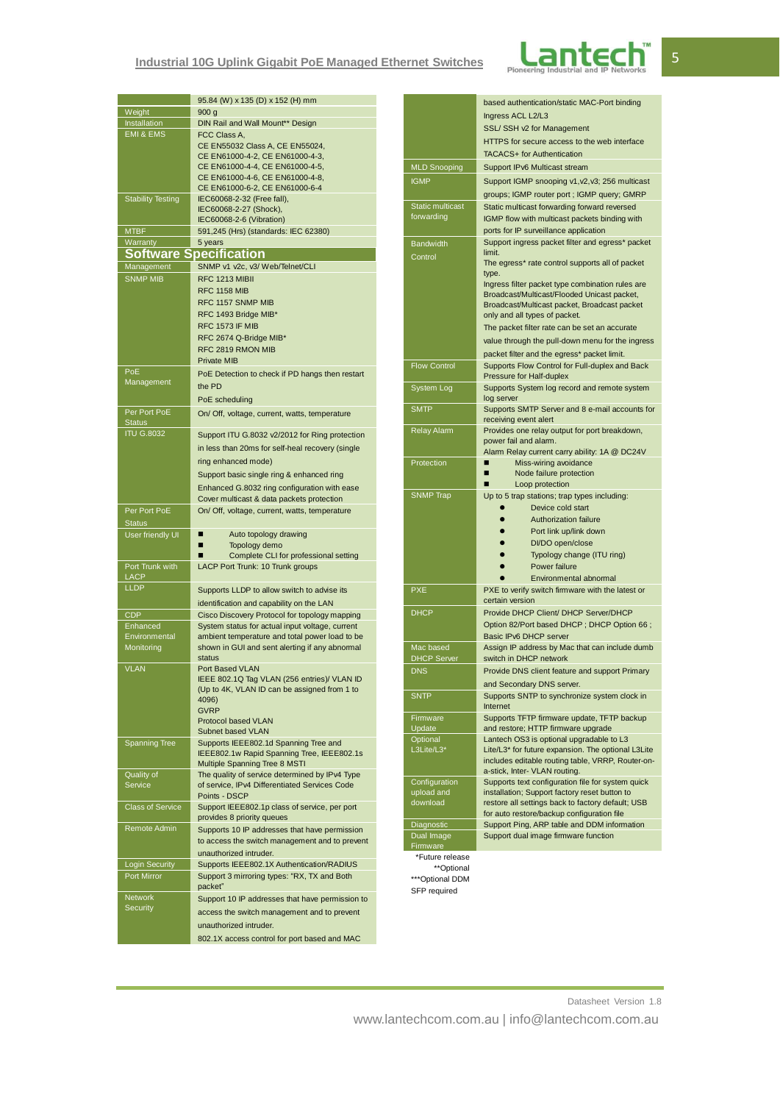# **Industrial 10G Uplink Gigabit PoE Managed Ethernet Switches**



| Weight                        | 95.84 (W) x 135 (D) x 152 (H) mm<br>900 <sub>g</sub>                                       |  |  |  |
|-------------------------------|--------------------------------------------------------------------------------------------|--|--|--|
| Installation                  | DIN Rail and Wall Mount** Design                                                           |  |  |  |
| <b>EMI &amp; EMS</b>          | FCC Class A,                                                                               |  |  |  |
|                               | CE EN55032 Class A, CE EN55024,                                                            |  |  |  |
|                               | CE EN61000-4-2, CE EN61000-4-3,<br>CE EN61000-4-4, CE EN61000-4-5,                         |  |  |  |
|                               | CE EN61000-4-6, CE EN61000-4-8,                                                            |  |  |  |
|                               | CE EN61000-6-2, CE EN61000-6-4                                                             |  |  |  |
| <b>Stability Testing</b>      | IEC60068-2-32 (Free fall),                                                                 |  |  |  |
|                               | IEC60068-2-27 (Shock),                                                                     |  |  |  |
| <b>MTBF</b>                   | IEC60068-2-6 (Vibration)<br>591,245 (Hrs) (standards: IEC 62380)                           |  |  |  |
| Warranty                      | 5 years                                                                                    |  |  |  |
| <b>Software Specification</b> |                                                                                            |  |  |  |
| Management                    | SNMP v1 v2c, v3/ Web/Telnet/CLI                                                            |  |  |  |
| <b>SNMP MIB</b>               | RFC 1213 MIBII                                                                             |  |  |  |
|                               | <b>RFC 1158 MIB</b>                                                                        |  |  |  |
|                               | RFC 1157 SNMP MIB                                                                          |  |  |  |
|                               | RFC 1493 Bridge MIB*                                                                       |  |  |  |
|                               | RFC 1573 IF MIB<br>RFC 2674 Q-Bridge MIB*                                                  |  |  |  |
|                               | RFC 2819 RMON MIB                                                                          |  |  |  |
|                               | <b>Private MIB</b>                                                                         |  |  |  |
| PoE                           | PoE Detection to check if PD hangs then restart                                            |  |  |  |
| Management                    | the PD                                                                                     |  |  |  |
|                               | PoE scheduling                                                                             |  |  |  |
| Per Port PoE                  | On/ Off, voltage, current, watts, temperature                                              |  |  |  |
| <b>Status</b>                 |                                                                                            |  |  |  |
| <b>ITU G.8032</b>             | Support ITU G.8032 v2/2012 for Ring protection                                             |  |  |  |
|                               | in less than 20ms for self-heal recovery (single                                           |  |  |  |
|                               | ring enhanced mode)                                                                        |  |  |  |
|                               | Support basic single ring & enhanced ring                                                  |  |  |  |
|                               | Enhanced G.8032 ring configuration with ease                                               |  |  |  |
| Per Port PoE                  | Cover multicast & data packets protection<br>On/ Off, voltage, current, watts, temperature |  |  |  |
| <b>Status</b>                 |                                                                                            |  |  |  |
| User friendly UI              | Auto topology drawing<br>■                                                                 |  |  |  |
|                               | Topology demo                                                                              |  |  |  |
| Port Trunk with               | Complete CLI for professional setting<br>LACP Port Trunk: 10 Trunk groups                  |  |  |  |
| LACP                          |                                                                                            |  |  |  |
| <b>LLDP</b>                   | Supports LLDP to allow switch to advise its                                                |  |  |  |
|                               | identification and capability on the LAN                                                   |  |  |  |
| <b>CDP</b>                    | Cisco Discovery Protocol for topology mapping                                              |  |  |  |
| Enhanced                      | System status for actual input voltage, current                                            |  |  |  |
| Environmental                 | ambient temperature and total power load to be                                             |  |  |  |
| Monitoring                    | shown in GUI and sent alerting if any abnomal<br>status                                    |  |  |  |
| <b>VLAN</b>                   | Port Based VLAN                                                                            |  |  |  |
|                               | IEEE 802.1Q Tag VLAN (256 entries)/ VLAN ID                                                |  |  |  |
|                               | (Up to 4K, VLAN ID can be assigned from 1 to<br>4096)                                      |  |  |  |
|                               | <b>GVRP</b>                                                                                |  |  |  |
|                               | <b>Protocol based VLAN</b>                                                                 |  |  |  |
|                               | Subnet based VLAN                                                                          |  |  |  |
| <b>Spanning Tree</b>          | Supports IEEE802.1d Spanning Tree and<br>IEEE802.1w Rapid Spanning Tree, IEEE802.1s        |  |  |  |
|                               | Multiple Spanning Tree 8 MSTI                                                              |  |  |  |
| Quality of                    | The quality of service determined by IPv4 Type                                             |  |  |  |
| Service                       | of service, IPv4 Differentiated Services Code                                              |  |  |  |
| <b>Class of Service</b>       | Points - DSCP<br>Support IEEE802.1p class of service, per port                             |  |  |  |
|                               | provides 8 priority queues                                                                 |  |  |  |
| Remote Admin                  | Supports 10 IP addresses that have permission                                              |  |  |  |
|                               | to access the switch management and to prevent                                             |  |  |  |
|                               | unauthorized intruder.                                                                     |  |  |  |
| <b>Login Security</b>         | Supports IEEE802.1X Authentication/RADIUS                                                  |  |  |  |
| Port Mirror                   | Support 3 mirroring types: "RX, TX and Both                                                |  |  |  |
| <b>Network</b>                | packet"                                                                                    |  |  |  |
| Security                      | Support 10 IP addresses that have permission to                                            |  |  |  |
|                               | access the switch management and to prevent                                                |  |  |  |
|                               | unauthorized intruder.                                                                     |  |  |  |
|                               | 802.1X access control for port based and MAC                                               |  |  |  |

|                                 | based authentication/static MAC-Port binding                                                            |  |
|---------------------------------|---------------------------------------------------------------------------------------------------------|--|
|                                 | Ingress ACL L2/L3                                                                                       |  |
|                                 | SSL/ SSH v2 for Management                                                                              |  |
|                                 | HTTPS for secure access to the web interface                                                            |  |
|                                 | <b>TACACS+</b> for Authentication                                                                       |  |
| <b>MLD Snooping</b>             | Support IPv6 Multicast stream                                                                           |  |
| <b>IGMP</b>                     | Support IGMP snooping v1, v2, v3; 256 multicast                                                         |  |
|                                 | groups; IGMP router port ; IGMP query; GMRP                                                             |  |
| Static multicast                | Static multicast forwarding forward reversed                                                            |  |
| forwarding                      | IGMP flow with multicast packets binding with                                                           |  |
|                                 | ports for IP surveillance application                                                                   |  |
| <b>Bandwidth</b>                | Support ingress packet filter and egress* packet                                                        |  |
| Control                         | limit.                                                                                                  |  |
|                                 | The egress* rate control supports all of packet                                                         |  |
|                                 | type.<br>Ingress filter packet type combination rules are                                               |  |
|                                 | Broadcast/Multicast/Flooded Unicast packet,                                                             |  |
|                                 | Broadcast/Multicast packet, Broadcast packet                                                            |  |
|                                 | only and all types of packet.                                                                           |  |
|                                 | The packet filter rate can be set an accurate                                                           |  |
|                                 | value through the pull-down menu for the ingress                                                        |  |
|                                 | packet filter and the egress* packet limit.                                                             |  |
| <b>Flow Control</b>             | Supports Flow Control for Full-duplex and Back                                                          |  |
| System Log                      | Pressure for Half-duplex<br>Supports System log record and remote system                                |  |
|                                 | log server                                                                                              |  |
| <b>SMTP</b>                     | Supports SMTP Server and 8 e-mail accounts for                                                          |  |
|                                 | receiving event alert                                                                                   |  |
| <b>Relay Alarm</b>              | Provides one relay output for port breakdown,                                                           |  |
|                                 | power fail and alarm.<br>Alam Relay current carry ability: 1A @ DC24V                                   |  |
| Protection                      | Miss-wiring avoidance                                                                                   |  |
|                                 | Node failure protection                                                                                 |  |
|                                 | Loop protection                                                                                         |  |
| <b>SNMP Trap</b>                | Up to 5 trap stations; trap types including:                                                            |  |
|                                 | Device cold start<br>$\bullet$                                                                          |  |
|                                 | Authorization failure<br>$\bullet$                                                                      |  |
|                                 | Port link up/link down<br>$\bullet$                                                                     |  |
|                                 | DI/DO open/close<br>Typology change (ITU ring)                                                          |  |
|                                 | Power failure                                                                                           |  |
|                                 | Environmental abnormal                                                                                  |  |
| <b>PXE</b>                      | PXE to verify switch firmware with the latest or                                                        |  |
|                                 | certain version                                                                                         |  |
| <b>DHCP</b>                     | Provide DHCP Client/ DHCP Server/DHCP                                                                   |  |
|                                 | Option 82/Port based DHCP; DHCP Option 66;                                                              |  |
|                                 | Basic IPv6 DHCP server                                                                                  |  |
| Mac based<br><b>DHCP Server</b> | Assign IP address by Mac that can include dumb<br>switch in DHCP network                                |  |
| <b>DNS</b>                      | Provide DNS client feature and support Primary                                                          |  |
|                                 | and Secondary DNS server.                                                                               |  |
| <b>SNTP</b>                     | Supports SNTP to synchronize system clock in                                                            |  |
|                                 | Internet                                                                                                |  |
| Firmware                        | Supports TFTP firmware update, TFTP backup                                                              |  |
| Update                          | and restore; HTTP firmware upgrade                                                                      |  |
| Optional                        | Lantech OS3 is optional upgradable to L3                                                                |  |
| L3Lite/L3*                      | Lite/L3* for future expansion. The optional L3Lite<br>includes editable routing table, VRRP, Router-on- |  |
|                                 | a-stick, Inter- VLAN routing.                                                                           |  |
| Configuration                   | Supports text configuration file for system quick                                                       |  |
| upload and                      | installation; Support factory reset button to                                                           |  |
| download                        | restore all settings back to factory default; USB                                                       |  |
| Diagnostic                      | for auto restore/backup configuration file<br>Support Ping, ARP table and DDM information               |  |
| Dual Image                      | Support dual image firmware function                                                                    |  |
| Firmware                        |                                                                                                         |  |
| *Future release                 |                                                                                                         |  |
| **Optional                      |                                                                                                         |  |

\*\*\*Optional DDM SFP required